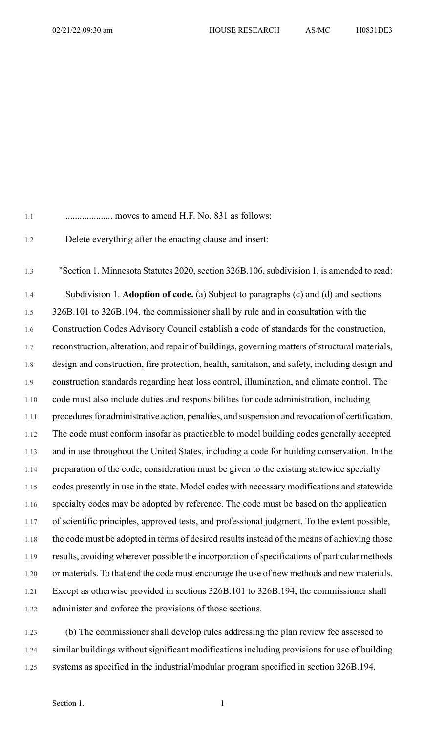| 1.1     | moves to amend H.F. No. 831 as follows:                                                          |
|---------|--------------------------------------------------------------------------------------------------|
| 1.2     | Delete everything after the enacting clause and insert:                                          |
| 1.3     | "Section 1. Minnesota Statutes 2020, section 326B.106, subdivision 1, is amended to read:        |
| 1.4     | Subdivision 1. Adoption of code. (a) Subject to paragraphs (c) and (d) and sections              |
| 1.5     | 326B.101 to 326B.194, the commissioner shall by rule and in consultation with the                |
| 1.6     | Construction Codes Advisory Council establish a code of standards for the construction,          |
| 1.7     | reconstruction, alteration, and repair of buildings, governing matters of structural materials,  |
| $1.8\,$ | design and construction, fire protection, health, sanitation, and safety, including design and   |
| 1.9     | construction standards regarding heat loss control, illumination, and climate control. The       |
| 1.10    | code must also include duties and responsibilities for code administration, including            |
| 1.11    | procedures for administrative action, penalties, and suspension and revocation of certification. |
| 1.12    | The code must conform insofar as practicable to model building codes generally accepted          |
| 1.13    | and in use throughout the United States, including a code for building conservation. In the      |
| 1.14    | preparation of the code, consideration must be given to the existing statewide specialty         |
| 1.15    | codes presently in use in the state. Model codes with necessary modifications and statewide      |
| 1.16    | specialty codes may be adopted by reference. The code must be based on the application           |
| 1.17    | of scientific principles, approved tests, and professional judgment. To the extent possible,     |
| 1.18    | the code must be adopted in terms of desired results instead of the means of achieving those     |
| 1.19    | results, avoiding wherever possible the incorporation of specifications of particular methods    |
| 1.20    | or materials. To that end the code must encourage the use of new methods and new materials.      |
| 1.21    | Except as otherwise provided in sections 326B.101 to 326B.194, the commissioner shall            |
| 1.22    | administer and enforce the provisions of those sections.                                         |
|         |                                                                                                  |

1.23 (b) The commissioner shall develop rules addressing the plan review fee assessed to 1.24 similar buildings without significant modifications including provisions for use of building 1.25 systems as specified in the industrial/modular program specified in section 326B.194.